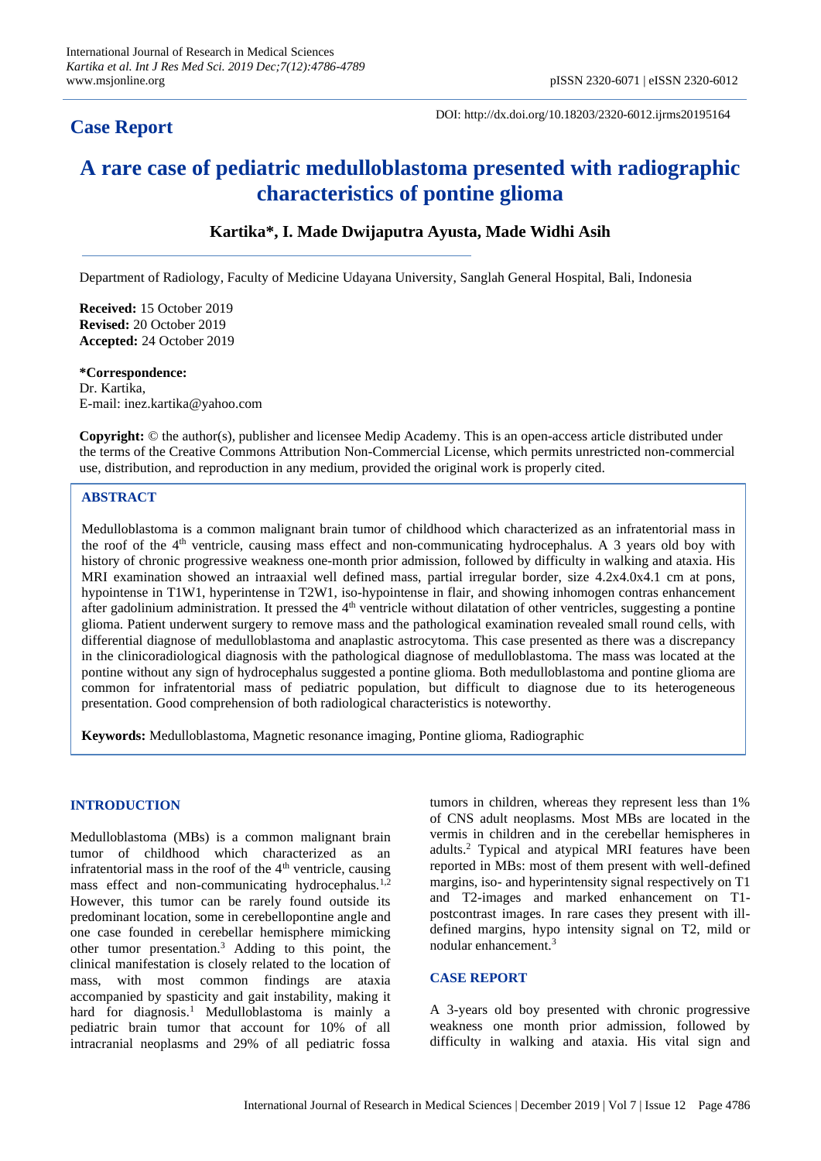# **Case Report**

DOI: http://dx.doi.org/10.18203/2320-6012.ijrms20195164

# **A rare case of pediatric medulloblastoma presented with radiographic characteristics of pontine glioma**

## **Kartika\*, I. Made Dwijaputra Ayusta, Made Widhi Asih**

Department of Radiology, Faculty of Medicine Udayana University, Sanglah General Hospital, Bali, Indonesia

**Received:** 15 October 2019 **Revised:** 20 October 2019 **Accepted:** 24 October 2019

**\*Correspondence:** Dr. Kartika, E-mail: inez.kartika@yahoo.com

**Copyright:** © the author(s), publisher and licensee Medip Academy. This is an open-access article distributed under the terms of the Creative Commons Attribution Non-Commercial License, which permits unrestricted non-commercial use, distribution, and reproduction in any medium, provided the original work is properly cited.

### **ABSTRACT**

Medulloblastoma is a common malignant brain tumor of childhood which characterized as an infratentorial mass in the roof of the 4<sup>th</sup> ventricle, causing mass effect and non-communicating hydrocephalus. A 3 years old boy with history of chronic progressive weakness one-month prior admission, followed by difficulty in walking and ataxia. His MRI examination showed an intraaxial well defined mass, partial irregular border, size 4.2x4.0x4.1 cm at pons, hypointense in T1W1, hyperintense in T2W1, iso-hypointense in flair, and showing inhomogen contras enhancement after gadolinium administration. It pressed the 4<sup>th</sup> ventricle without dilatation of other ventricles, suggesting a pontine glioma. Patient underwent surgery to remove mass and the pathological examination revealed small round cells, with differential diagnose of medulloblastoma and anaplastic astrocytoma. This case presented as there was a discrepancy in the clinicoradiological diagnosis with the pathological diagnose of medulloblastoma. The mass was located at the pontine without any sign of hydrocephalus suggested a pontine glioma. Both medulloblastoma and pontine glioma are common for infratentorial mass of pediatric population, but difficult to diagnose due to its heterogeneous presentation. Good comprehension of both radiological characteristics is noteworthy.

**Keywords:** Medulloblastoma, Magnetic resonance imaging, Pontine glioma, Radiographic

#### **INTRODUCTION**

Medulloblastoma (MBs) is a common malignant brain tumor of childhood which characterized as an infratentorial mass in the roof of the  $4<sup>th</sup>$  ventricle, causing mass effect and non-communicating hydrocephalus.<sup>1,2</sup> However, this tumor can be rarely found outside its predominant location, some in cerebellopontine angle and one case founded in cerebellar hemisphere mimicking other tumor presentation.<sup>3</sup> Adding to this point, the clinical manifestation is closely related to the location of mass, with most common findings are ataxia accompanied by spasticity and gait instability, making it hard for diagnosis.<sup>1</sup> Medulloblastoma is mainly a pediatric brain tumor that account for 10% of all intracranial neoplasms and 29% of all pediatric fossa tumors in children, whereas they represent less than 1% of CNS adult neoplasms. Most MBs are located in the vermis in children and in the cerebellar hemispheres in adults.<sup>2</sup> Typical and atypical MRI features have been reported in MBs: most of them present with well-defined margins, iso- and hyperintensity signal respectively on T1 and T2-images and marked enhancement on T1 postcontrast images. In rare cases they present with illdefined margins, hypo intensity signal on T2, mild or nodular enhancement.<sup>3</sup>

#### **CASE REPORT**

A 3-years old boy presented with chronic progressive weakness one month prior admission, followed by difficulty in walking and ataxia. His vital sign and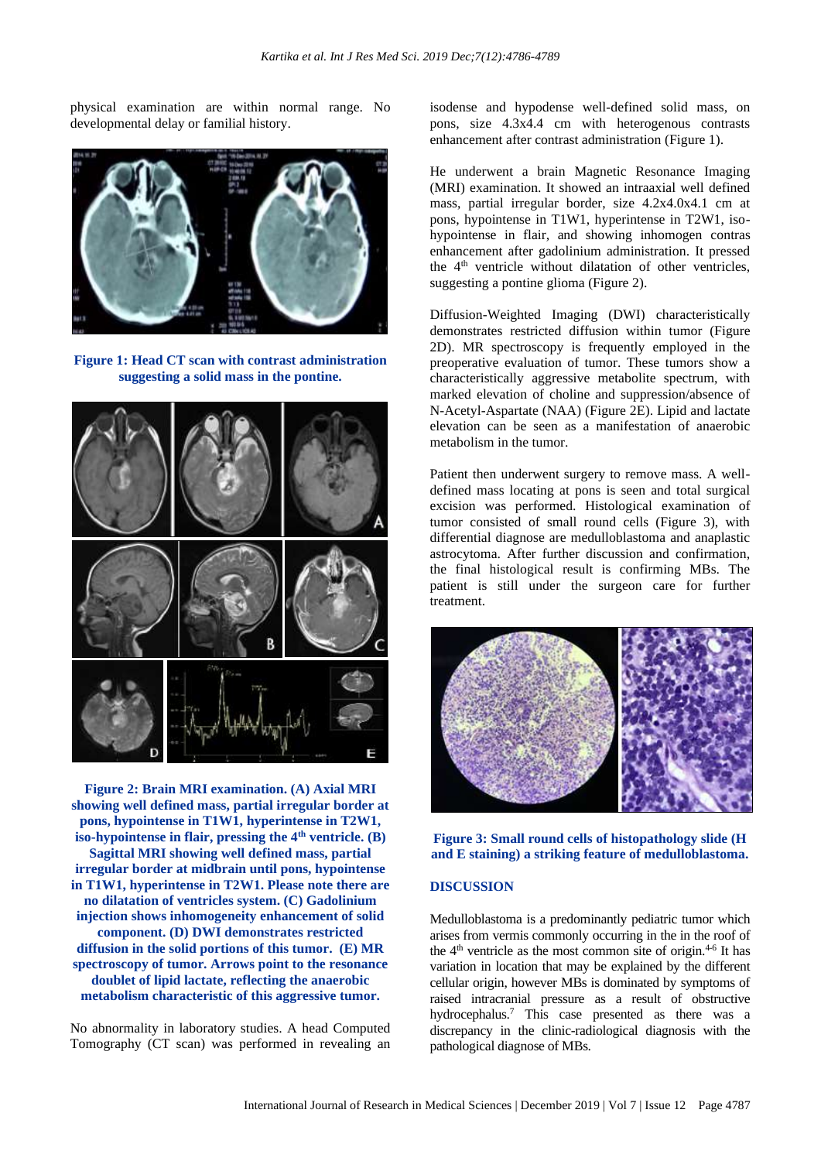physical examination are within normal range. No developmental delay or familial history.



**Figure 1: Head CT scan with contrast administration suggesting a solid mass in the pontine.**



**Figure 2: Brain MRI examination. (A) Axial MRI showing well defined mass, partial irregular border at pons, hypointense in T1W1, hyperintense in T2W1, iso-hypointense in flair, pressing the 4th ventricle. (B) Sagittal MRI showing well defined mass, partial irregular border at midbrain until pons, hypointense in T1W1, hyperintense in T2W1. Please note there are no dilatation of ventricles system. (C) Gadolinium injection shows inhomogeneity enhancement of solid component. (D) DWI demonstrates restricted diffusion in the solid portions of this tumor. (E) MR spectroscopy of tumor. Arrows point to the resonance doublet of lipid lactate, reflecting the anaerobic metabolism characteristic of this aggressive tumor.**

No abnormality in laboratory studies. A head Computed Tomography (CT scan) was performed in revealing an isodense and hypodense well-defined solid mass, on pons, size 4.3x4.4 cm with heterogenous contrasts enhancement after contrast administration (Figure 1).

He underwent a brain Magnetic Resonance Imaging (MRI) examination. It showed an intraaxial well defined mass, partial irregular border, size 4.2x4.0x4.1 cm at pons, hypointense in T1W1, hyperintense in T2W1, isohypointense in flair, and showing inhomogen contras enhancement after gadolinium administration. It pressed the 4<sup>th</sup> ventricle without dilatation of other ventricles, suggesting a pontine glioma (Figure 2).

Diffusion-Weighted Imaging (DWI) characteristically demonstrates restricted diffusion within tumor (Figure 2D). MR spectroscopy is frequently employed in the preoperative evaluation of tumor. These tumors show a characteristically aggressive metabolite spectrum, with marked elevation of choline and suppression/absence of N-Acetyl-Aspartate (NAA) (Figure 2E). Lipid and lactate elevation can be seen as a manifestation of anaerobic metabolism in the tumor.

Patient then underwent surgery to remove mass. A welldefined mass locating at pons is seen and total surgical excision was performed. Histological examination of tumor consisted of small round cells (Figure 3), with differential diagnose are medulloblastoma and anaplastic astrocytoma. After further discussion and confirmation, the final histological result is confirming MBs. The patient is still under the surgeon care for further treatment.



**Figure 3: Small round cells of histopathology slide (H and E staining) a striking feature of medulloblastoma.**

#### **DISCUSSION**

Medulloblastoma is a predominantly pediatric tumor which arises from vermis commonly occurring in the in the roof of the  $4<sup>th</sup>$  ventricle as the most common site of origin.<sup>4-6</sup> It has variation in location that may be explained by the different cellular origin, however MBs is dominated by symptoms of raised intracranial pressure as a result of obstructive hydrocephalus.<sup>7</sup> This case presented as there was a discrepancy in the clinic-radiological diagnosis with the pathological diagnose of MBs.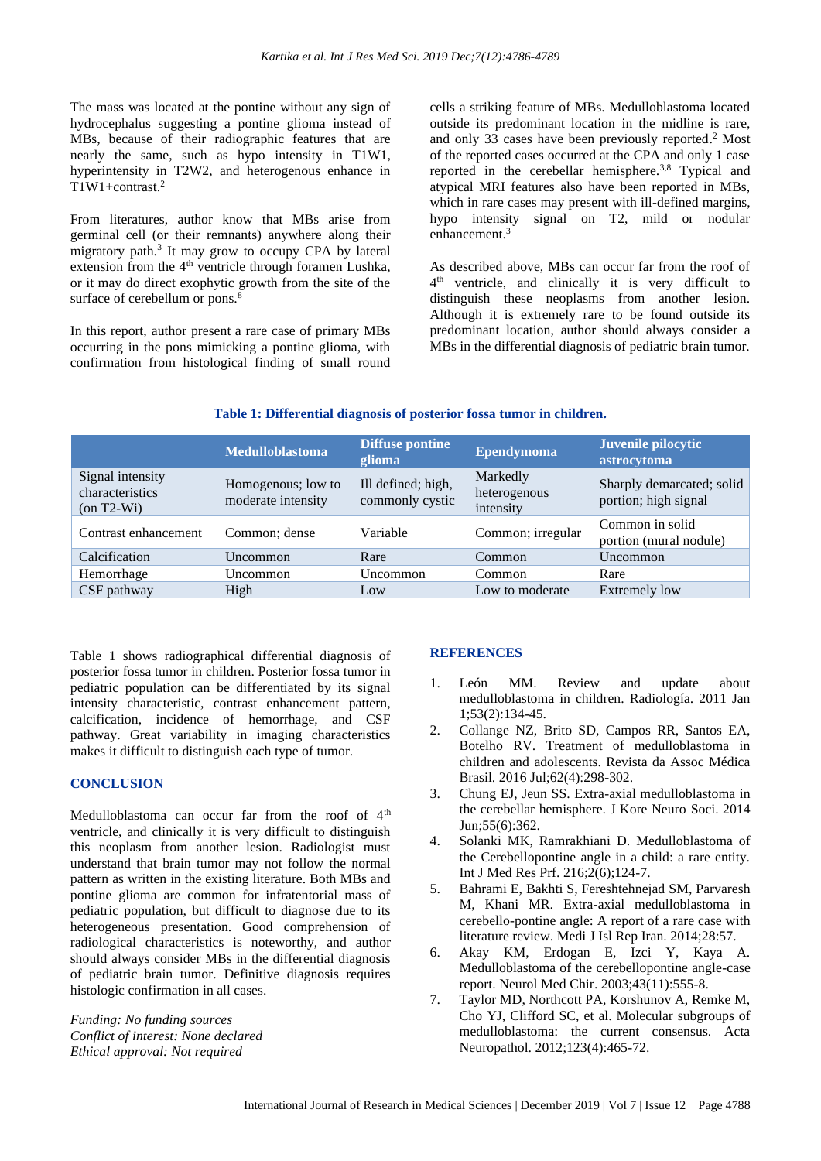The mass was located at the pontine without any sign of hydrocephalus suggesting a pontine glioma instead of MBs, because of their radiographic features that are nearly the same, such as hypo intensity in T1W1, hyperintensity in T2W2, and heterogenous enhance in  $T1W1+contrast.<sup>2</sup>$ 

From literatures, author know that MBs arise from germinal cell (or their remnants) anywhere along their migratory path.<sup>3</sup> It may grow to occupy CPA by lateral extension from the 4<sup>th</sup> ventricle through foramen Lushka, or it may do direct exophytic growth from the site of the surface of cerebellum or pons.<sup>8</sup>

In this report, author present a rare case of primary MBs occurring in the pons mimicking a pontine glioma, with confirmation from histological finding of small round cells a striking feature of MBs. Medulloblastoma located outside its predominant location in the midline is rare, and only 33 cases have been previously reported. <sup>2</sup> Most of the reported cases occurred at the CPA and only 1 case reported in the cerebellar hemisphere.<sup>3,8</sup> Typical and atypical MRI features also have been reported in MBs, which in rare cases may present with ill-defined margins, hypo intensity signal on T2, mild or nodular enhancement.<sup>3</sup>

As described above, MBs can occur far from the roof of 4<sup>th</sup> ventricle, and clinically it is very difficult to distinguish these neoplasms from another lesion. Although it is extremely rare to be found outside its predominant location, author should always consider a MBs in the differential diagnosis of pediatric brain tumor.

#### **Table 1: Differential diagnosis of posterior fossa tumor in children.**

|                                                     | <b>Medulloblastoma</b>                   | <b>Diffuse pontine</b><br>glioma      | <b>Ependymoma</b>                     | Juvenile pilocytic<br>astrocytoma                 |
|-----------------------------------------------------|------------------------------------------|---------------------------------------|---------------------------------------|---------------------------------------------------|
| Signal intensity<br>characteristics<br>$(on T2-Wi)$ | Homogenous; low to<br>moderate intensity | Ill defined; high,<br>commonly cystic | Markedly<br>heterogenous<br>intensity | Sharply demarcated; solid<br>portion; high signal |
| Contrast enhancement                                | Common; dense                            | Variable                              | Common; irregular                     | Common in solid<br>portion (mural nodule)         |
| Calcification                                       | Uncommon                                 | Rare                                  | Common                                | Uncommon                                          |
| Hemorrhage                                          | Uncommon                                 | Uncommon                              | Common                                | Rare                                              |
| CSF pathway                                         | High                                     | Low                                   | Low to moderate                       | <b>Extremely low</b>                              |

Table 1 shows radiographical differential diagnosis of posterior fossa tumor in children. Posterior fossa tumor in pediatric population can be differentiated by its signal intensity characteristic, contrast enhancement pattern, calcification, incidence of hemorrhage, and CSF pathway. Great variability in imaging characteristics makes it difficult to distinguish each type of tumor.

#### **CONCLUSION**

Medulloblastoma can occur far from the roof of  $4<sup>th</sup>$ ventricle, and clinically it is very difficult to distinguish this neoplasm from another lesion. Radiologist must understand that brain tumor may not follow the normal pattern as written in the existing literature. Both MBs and pontine glioma are common for infratentorial mass of pediatric population, but difficult to diagnose due to its heterogeneous presentation. Good comprehension of radiological characteristics is noteworthy, and author should always consider MBs in the differential diagnosis of pediatric brain tumor. Definitive diagnosis requires histologic confirmation in all cases.

*Funding: No funding sources Conflict of interest: None declared Ethical approval: Not required*

#### **REFERENCES**

- 1. León MM. Review and update about medulloblastoma in children. Radiología. 2011 Jan 1;53(2):134-45.
- 2. Collange NZ, Brito SD, Campos RR, Santos EA, Botelho RV. Treatment of medulloblastoma in children and adolescents. Revista da Assoc Médica Brasil. 2016 Jul;62(4):298-302.
- 3. Chung EJ, Jeun SS. Extra-axial medulloblastoma in the cerebellar hemisphere. J Kore Neuro Soci. 2014  $\text{I} \text{un}:}55(6):362$ .
- 4. Solanki MK, Ramrakhiani D. Medulloblastoma of the Cerebellopontine angle in a child: a rare entity. Int J Med Res Prf. 216;2(6);124-7.
- 5. Bahrami E, Bakhti S, Fereshtehnejad SM, Parvaresh M, Khani MR. Extra-axial medulloblastoma in cerebello-pontine angle: A report of a rare case with literature review. Medi J Isl Rep Iran. 2014;28:57.
- 6. Akay KM, Erdogan E, Izci Y, Kaya A. Medulloblastoma of the cerebellopontine angle-case report. Neurol Med Chir. 2003;43(11):555-8.
- 7. Taylor MD, Northcott PA, Korshunov A, Remke M, Cho YJ, Clifford SC, et al. Molecular subgroups of medulloblastoma: the current consensus. Acta Neuropathol. 2012;123(4):465-72.